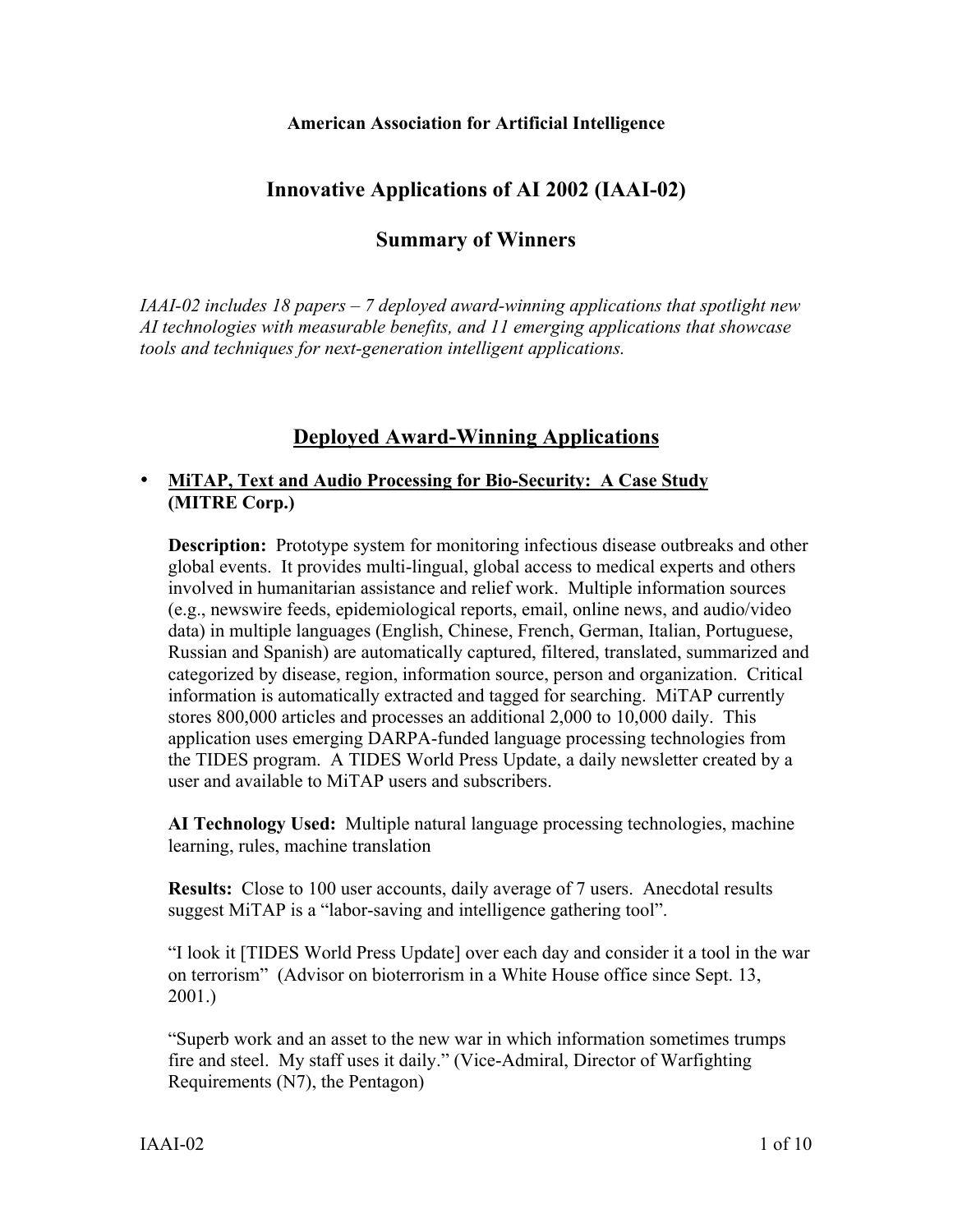#### **American Association for Artificial Intelligence**

## **Innovative Applications of AI 2002 (IAAI-02)**

## **Summary of Winners**

*IAAI-02 includes 18 papers – 7 deployed award-winning applications that spotlight new AI technologies with measurable benefits, and 11 emerging applications that showcase tools and techniques for next-generation intelligent applications.*

## **Deployed Award-Winning Applications**

### **MiTAP, Text and Audio Processing for Bio-Security: A Case Study (MITRE Corp.)**

**Description:** Prototype system for monitoring infectious disease outbreaks and other global events. It provides multi-lingual, global access to medical experts and others involved in humanitarian assistance and relief work. Multiple information sources (e.g., newswire feeds, epidemiological reports, email, online news, and audio/video data) in multiple languages (English, Chinese, French, German, Italian, Portuguese, Russian and Spanish) are automatically captured, filtered, translated, summarized and categorized by disease, region, information source, person and organization. Critical information is automatically extracted and tagged for searching. MiTAP currently stores 800,000 articles and processes an additional 2,000 to 10,000 daily. This application uses emerging DARPA-funded language processing technologies from the TIDES program. A TIDES World Press Update, a daily newsletter created by a user and available to MiTAP users and subscribers.

**AI Technology Used:** Multiple natural language processing technologies, machine learning, rules, machine translation

**Results:** Close to 100 user accounts, daily average of 7 users. Anecdotal results suggest MiTAP is a "labor-saving and intelligence gathering tool".

"I look it [TIDES World Press Update] over each day and consider it a tool in the war on terrorism" (Advisor on bioterrorism in a White House office since Sept. 13, 2001.)

"Superb work and an asset to the new war in which information sometimes trumps fire and steel. My staff uses it daily." (Vice-Admiral, Director of Warfighting Requirements (N7), the Pentagon)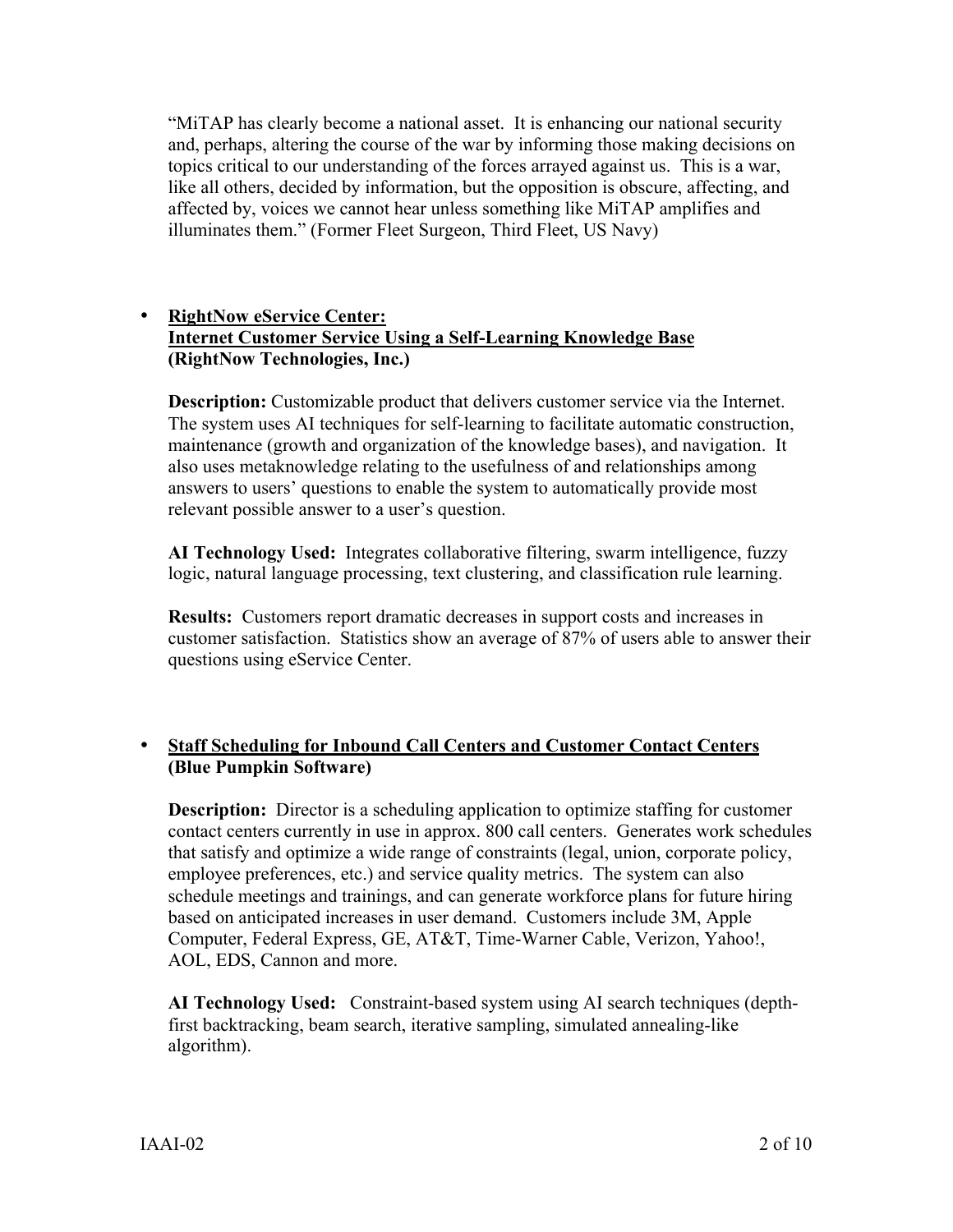"MiTAP has clearly become a national asset. It is enhancing our national security and, perhaps, altering the course of the war by informing those making decisions on topics critical to our understanding of the forces arrayed against us. This is a war, like all others, decided by information, but the opposition is obscure, affecting, and affected by, voices we cannot hear unless something like MiTAP amplifies and illuminates them." (Former Fleet Surgeon, Third Fleet, US Navy)

#### **RightNow eService Center: Internet Customer Service Using a Self-Learning Knowledge Base (RightNow Technologies, Inc.)**

**Description:** Customizable product that delivers customer service via the Internet. The system uses AI techniques for self-learning to facilitate automatic construction, maintenance (growth and organization of the knowledge bases), and navigation. It also uses metaknowledge relating to the usefulness of and relationships among answers to users' questions to enable the system to automatically provide most relevant possible answer to a user's question.

**AI Technology Used:** Integrates collaborative filtering, swarm intelligence, fuzzy logic, natural language processing, text clustering, and classification rule learning.

**Results:** Customers report dramatic decreases in support costs and increases in customer satisfaction.Statistics show an average of 87% of users able to answer their questions using eService Center.

## **Staff Scheduling for Inbound Call Centers and Customer Contact Centers (Blue Pumpkin Software)**

**Description:** Director is a scheduling application to optimize staffing for customer contact centers currently in use in approx. 800 call centers. Generates work schedules that satisfy and optimize a wide range of constraints (legal, union, corporate policy, employee preferences, etc.) and service quality metrics. The system can also schedule meetings and trainings, and can generate workforce plans for future hiring based on anticipated increases in user demand. Customers include 3M, Apple Computer, Federal Express, GE, AT&T, Time-Warner Cable, Verizon, Yahoo!, AOL, EDS, Cannon and more.

**AI Technology Used:** Constraint-based system using AI search techniques (depthfirst backtracking, beam search, iterative sampling, simulated annealing-like algorithm).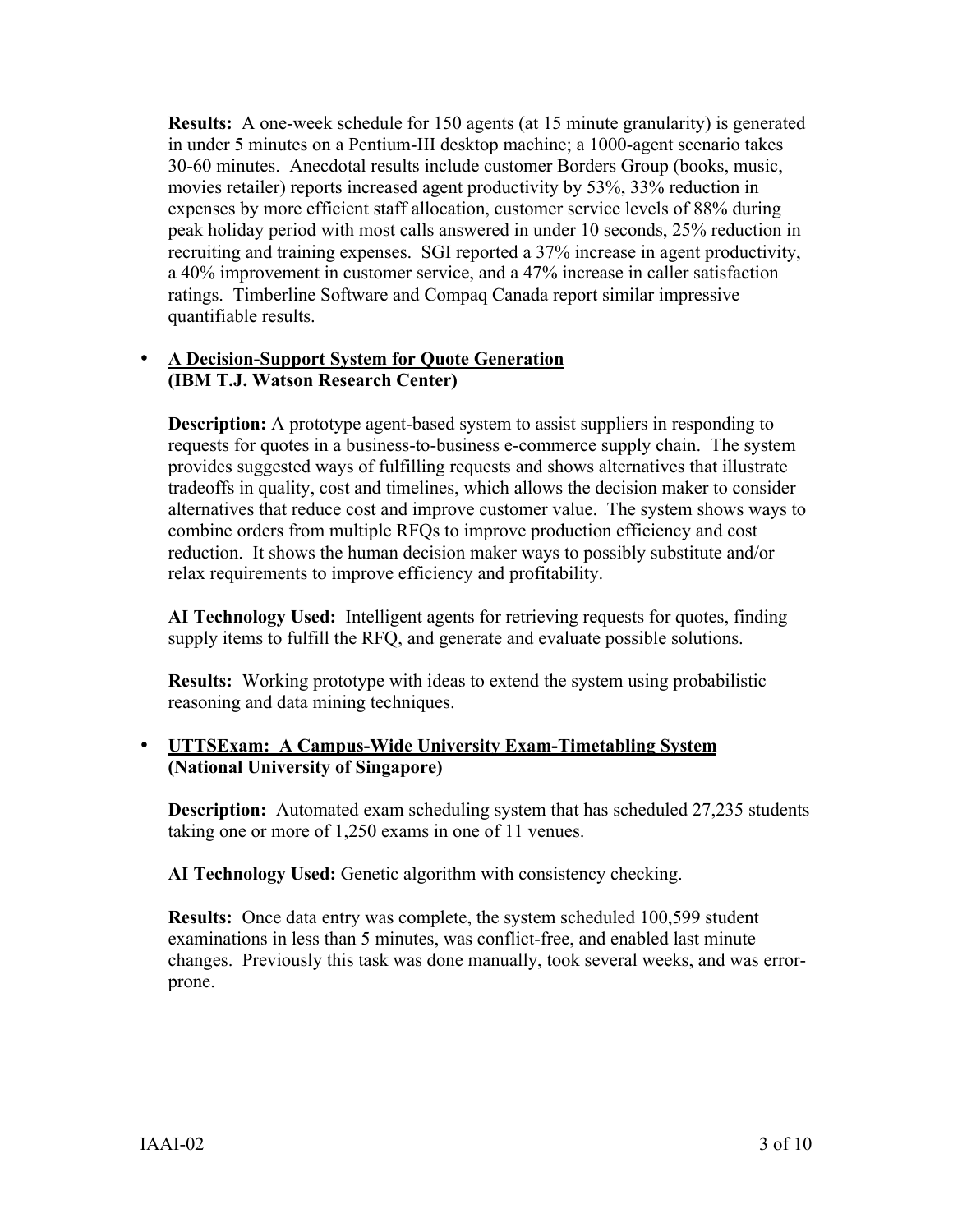**Results:** A one-week schedule for 150 agents (at 15 minute granularity) is generated in under 5 minutes on a Pentium-III desktop machine; a 1000-agent scenario takes 30-60 minutes. Anecdotal results include customer Borders Group (books, music, movies retailer) reports increased agent productivity by 53%, 33% reduction in expenses by more efficient staff allocation, customer service levels of 88% during peak holiday period with most calls answered in under 10 seconds, 25% reduction in recruiting and training expenses. SGI reported a 37% increase in agent productivity, a 40% improvement in customer service, and a 47% increase in caller satisfaction ratings. Timberline Software and Compaq Canada report similar impressive quantifiable results.

## **A Decision-Support System for Quote Generation (IBM T.J. Watson Research Center)**

**Description:** A prototype agent-based system to assist suppliers in responding to requests for quotes in a business-to-business e-commerce supply chain. The system provides suggested ways of fulfilling requests and shows alternatives that illustrate tradeoffs in quality, cost and timelines, which allows the decision maker to consider alternatives that reduce cost and improve customer value. The system shows ways to combine orders from multiple RFQs to improve production efficiency and cost reduction. It shows the human decision maker ways to possibly substitute and/or relax requirements to improve efficiency and profitability.

**AI Technology Used:** Intelligent agents for retrieving requests for quotes, finding supply items to fulfill the RFQ, and generate and evaluate possible solutions.

**Results:** Working prototype with ideas to extend the system using probabilistic reasoning and data mining techniques.

### **UTTSExam: A Campus-Wide University Exam-Timetabling System (National University of Singapore)**

**Description:** Automated exam scheduling system that has scheduled 27,235 students taking one or more of 1,250 exams in one of 11 venues.

**AI Technology Used:** Genetic algorithm with consistency checking.

**Results:** Once data entry was complete, the system scheduled 100,599 student examinations in less than 5 minutes, was conflict-free, and enabled last minute changes. Previously this task was done manually, took several weeks, and was errorprone.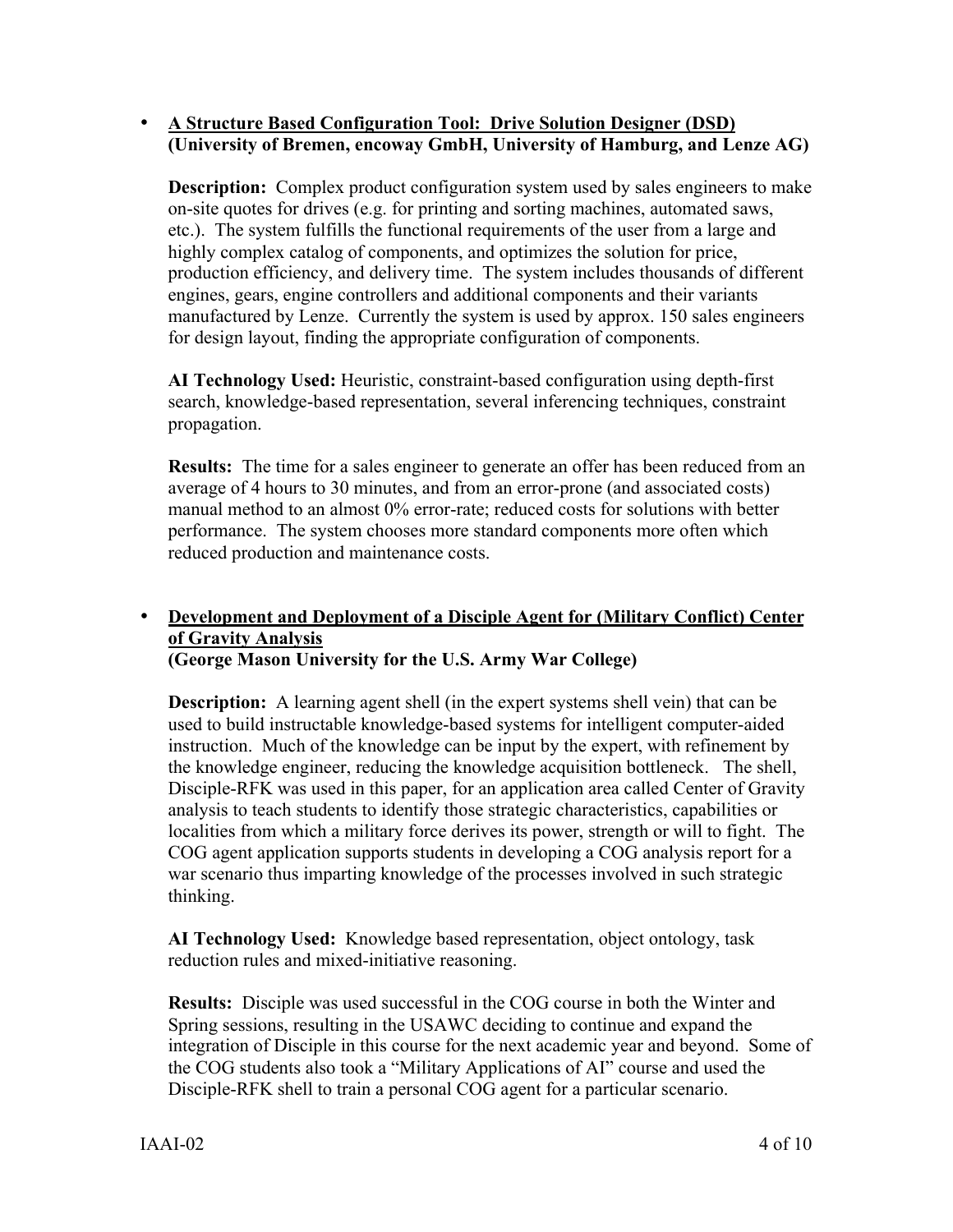#### **A Structure Based Configuration Tool: Drive Solution Designer (DSD) (University of Bremen, encoway GmbH, University of Hamburg, and Lenze AG)**

**Description:** Complex product configuration system used by sales engineers to make on-site quotes for drives (e.g. for printing and sorting machines, automated saws, etc.). The system fulfills the functional requirements of the user from a large and highly complex catalog of components, and optimizes the solution for price, production efficiency, and delivery time. The system includes thousands of different engines, gears, engine controllers and additional components and their variants manufactured by Lenze. Currently the system is used by approx. 150 sales engineers for design layout, finding the appropriate configuration of components.

**AI Technology Used:** Heuristic, constraint-based configuration using depth-first search, knowledge-based representation, several inferencing techniques, constraint propagation.

**Results:** The time for a sales engineer to generate an offer has been reduced from an average of 4 hours to 30 minutes, and from an error-prone (and associated costs) manual method to an almost 0% error-rate; reduced costs for solutions with better performance. The system chooses more standard components more often which reduced production and maintenance costs.

#### **Development and Deployment of a Disciple Agent for (Military Conflict) Center of Gravity Analysis (George Mason University for the U.S. Army War College)**

**Description:** A learning agent shell (in the expert systems shell vein) that can be used to build instructable knowledge-based systems for intelligent computer-aided instruction. Much of the knowledge can be input by the expert, with refinement by the knowledge engineer, reducing the knowledge acquisition bottleneck. The shell, Disciple-RFK was used in this paper, for an application area called Center of Gravity analysis to teach students to identify those strategic characteristics, capabilities or localities from which a military force derives its power, strength or will to fight. The COG agent application supports students in developing a COG analysis report for a war scenario thus imparting knowledge of the processes involved in such strategic thinking.

**AI Technology Used:** Knowledge based representation, object ontology, task reduction rules and mixed-initiative reasoning.

**Results:** Disciple was used successful in the COG course in both the Winter and Spring sessions, resulting in the USAWC deciding to continue and expand the integration of Disciple in this course for the next academic year and beyond. Some of the COG students also took a "Military Applications of AI" course and used the Disciple-RFK shell to train a personal COG agent for a particular scenario.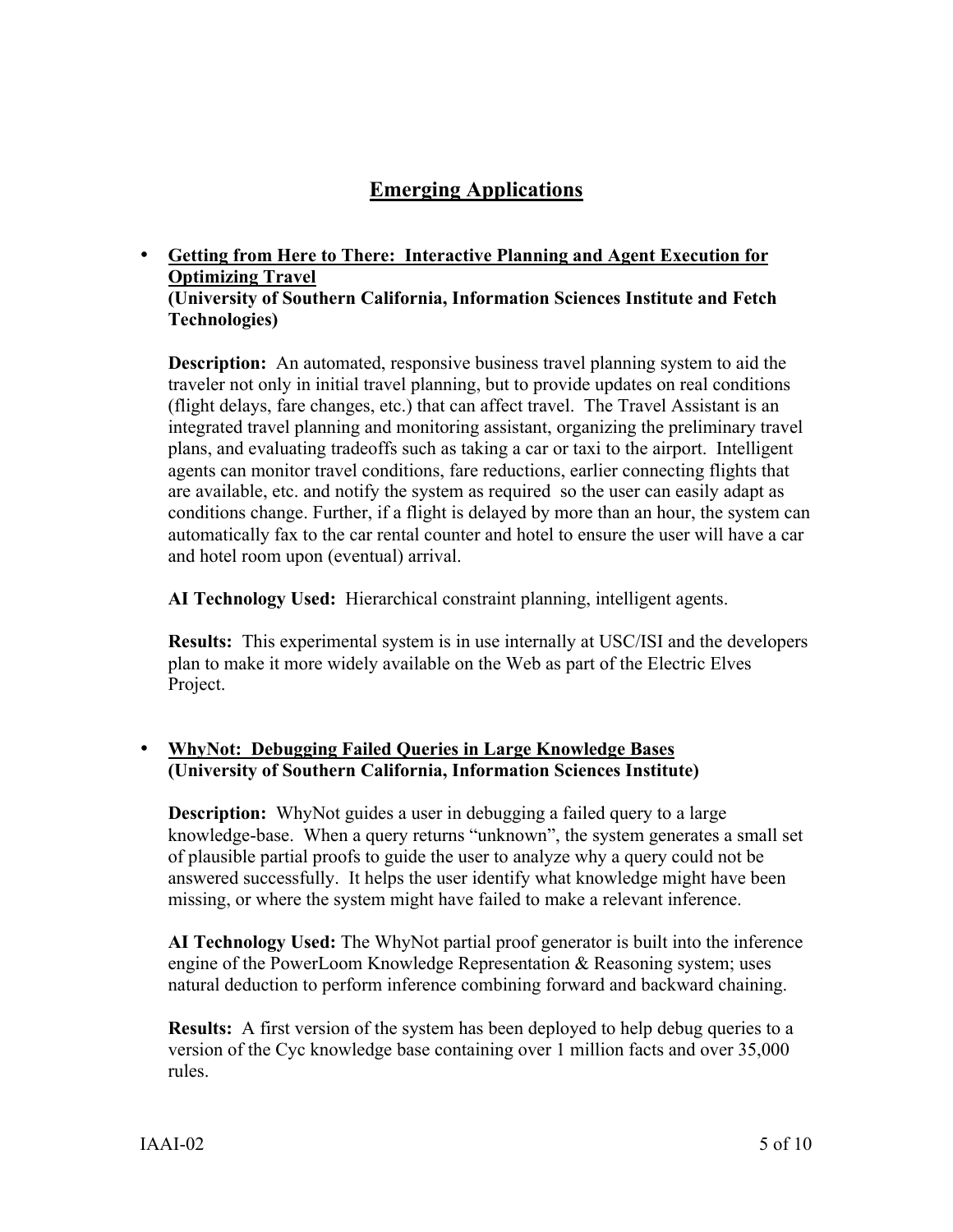# **Emerging Applications**

# **Getting from Here to There: Interactive Planning and Agent Execution for Optimizing Travel**

#### **(University of Southern California, Information Sciences Institute and Fetch Technologies)**

**Description:** An automated, responsive business travel planning system to aid the traveler not only in initial travel planning, but to provide updates on real conditions (flight delays, fare changes, etc.) that can affect travel. The Travel Assistant is an integrated travel planning and monitoring assistant, organizing the preliminary travel plans, and evaluating tradeoffs such as taking a car or taxi to the airport. Intelligent agents can monitor travel conditions, fare reductions, earlier connecting flights that are available, etc. and notify the system as required so the user can easily adapt as conditions change. Further, if a flight is delayed by more than an hour, the system can automatically fax to the car rental counter and hotel to ensure the user will have a car and hotel room upon (eventual) arrival.

**AI Technology Used:** Hierarchical constraint planning, intelligent agents.

**Results:** This experimental system is in use internally at USC/ISI and the developers plan to make it more widely available on the Web as part of the Electric Elves Project.

### **WhyNot: Debugging Failed Queries in Large Knowledge Bases (University of Southern California, Information Sciences Institute)**

**Description:** WhyNot guides a user in debugging a failed query to a large knowledge-base. When a query returns "unknown", the system generates a small set of plausible partial proofs to guide the user to analyze why a query could not be answered successfully. It helps the user identify what knowledge might have been missing, or where the system might have failed to make a relevant inference.

**AI Technology Used:** The WhyNot partial proof generator is built into the inference engine of the PowerLoom Knowledge Representation & Reasoning system; uses natural deduction to perform inference combining forward and backward chaining.

**Results:** A first version of the system has been deployed to help debug queries to a version of the Cyc knowledge base containing over 1 million facts and over 35,000 rules.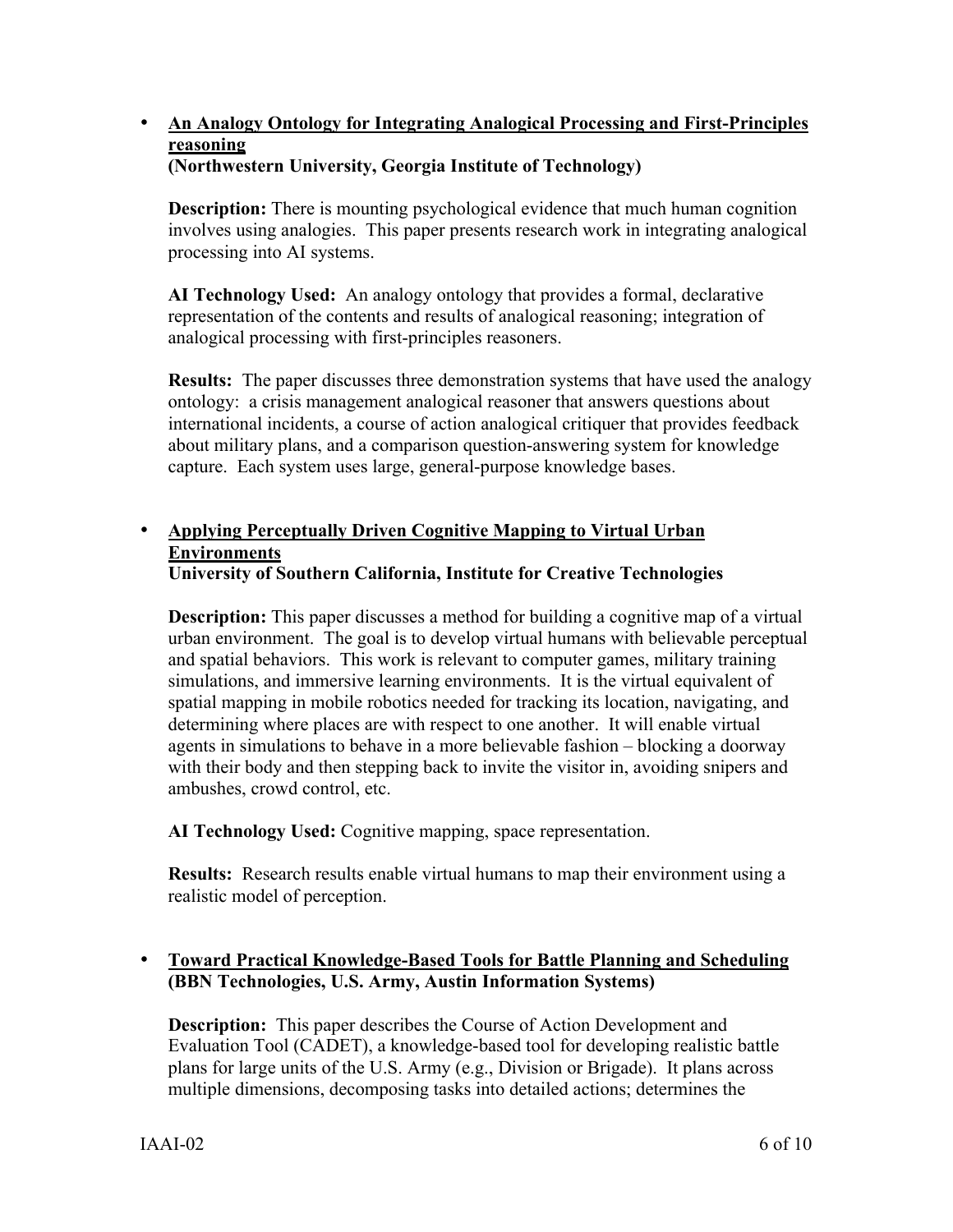# **An Analogy Ontology for Integrating Analogical Processing and First-Principles reasoning**

## **(Northwestern University, Georgia Institute of Technology)**

**Description:** There is mounting psychological evidence that much human cognition involves using analogies. This paper presents research work in integrating analogical processing into AI systems.

**AI Technology Used:** An analogy ontology that provides a formal, declarative representation of the contents and results of analogical reasoning; integration of analogical processing with first-principles reasoners.

**Results:** The paper discusses three demonstration systems that have used the analogy ontology: a crisis management analogical reasoner that answers questions about international incidents, a course of action analogical critiquer that provides feedback about military plans, and a comparison question-answering system for knowledge capture. Each system uses large, general-purpose knowledge bases.

# **Applying Perceptually Driven Cognitive Mapping to Virtual Urban Environments**

## **University of Southern California, Institute for Creative Technologies**

**Description:** This paper discusses a method for building a cognitive map of a virtual urban environment. The goal is to develop virtual humans with believable perceptual and spatial behaviors. This work is relevant to computer games, military training simulations, and immersive learning environments. It is the virtual equivalent of spatial mapping in mobile robotics needed for tracking its location, navigating, and determining where places are with respect to one another. It will enable virtual agents in simulations to behave in a more believable fashion – blocking a doorway with their body and then stepping back to invite the visitor in, avoiding snipers and ambushes, crowd control, etc.

**AI Technology Used:** Cognitive mapping, space representation.

**Results:** Research results enable virtual humans to map their environment using a realistic model of perception.

## **Toward Practical Knowledge-Based Tools for Battle Planning and Scheduling (BBN Technologies, U.S. Army, Austin Information Systems)**

**Description:** This paper describes the Course of Action Development and Evaluation Tool (CADET), a knowledge-based tool for developing realistic battle plans for large units of the U.S. Army (e.g., Division or Brigade). It plans across multiple dimensions, decomposing tasks into detailed actions; determines the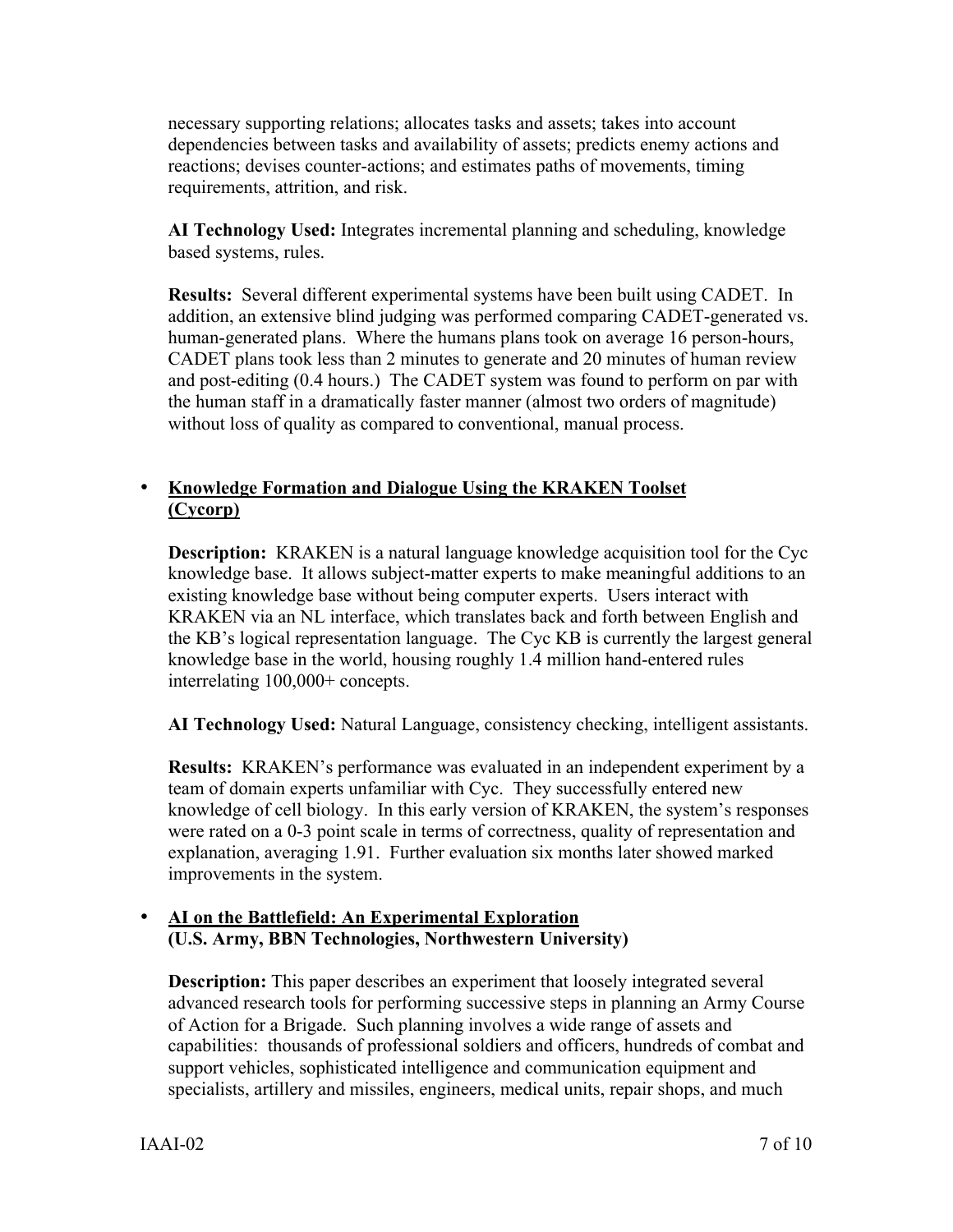necessary supporting relations; allocates tasks and assets; takes into account dependencies between tasks and availability of assets; predicts enemy actions and reactions; devises counter-actions; and estimates paths of movements, timing requirements, attrition, and risk.

**AI Technology Used:** Integrates incremental planning and scheduling, knowledge based systems, rules.

**Results:** Several different experimental systems have been built using CADET. In addition, an extensive blind judging was performed comparing CADET-generated vs. human-generated plans. Where the humans plans took on average 16 person-hours, CADET plans took less than 2 minutes to generate and 20 minutes of human review and post-editing (0.4 hours.) The CADET system was found to perform on par with the human staff in a dramatically faster manner (almost two orders of magnitude) without loss of quality as compared to conventional, manual process.

## **Knowledge Formation and Dialogue Using the KRAKEN Toolset (Cycorp)**

**Description:** KRAKEN is a natural language knowledge acquisition tool for the Cyc knowledge base. It allows subject-matter experts to make meaningful additions to an existing knowledge base without being computer experts. Users interact with KRAKEN via an NL interface, which translates back and forth between English and the KB's logical representation language. The Cyc KB is currently the largest general knowledge base in the world, housing roughly 1.4 million hand-entered rules interrelating 100,000+ concepts.

**AI Technology Used:** Natural Language, consistency checking, intelligent assistants.

**Results:** KRAKEN's performance was evaluated in an independent experiment by a team of domain experts unfamiliar with Cyc. They successfully entered new knowledge of cell biology. In this early version of KRAKEN, the system's responses were rated on a 0-3 point scale in terms of correctness, quality of representation and explanation, averaging 1.91. Further evaluation six months later showed marked improvements in the system.

## **AI on the Battlefield: An Experimental Exploration (U.S. Army, BBN Technologies, Northwestern University)**

**Description:** This paper describes an experiment that loosely integrated several advanced research tools for performing successive steps in planning an Army Course of Action for a Brigade. Such planning involves a wide range of assets and capabilities: thousands of professional soldiers and officers, hundreds of combat and support vehicles, sophisticated intelligence and communication equipment and specialists, artillery and missiles, engineers, medical units, repair shops, and much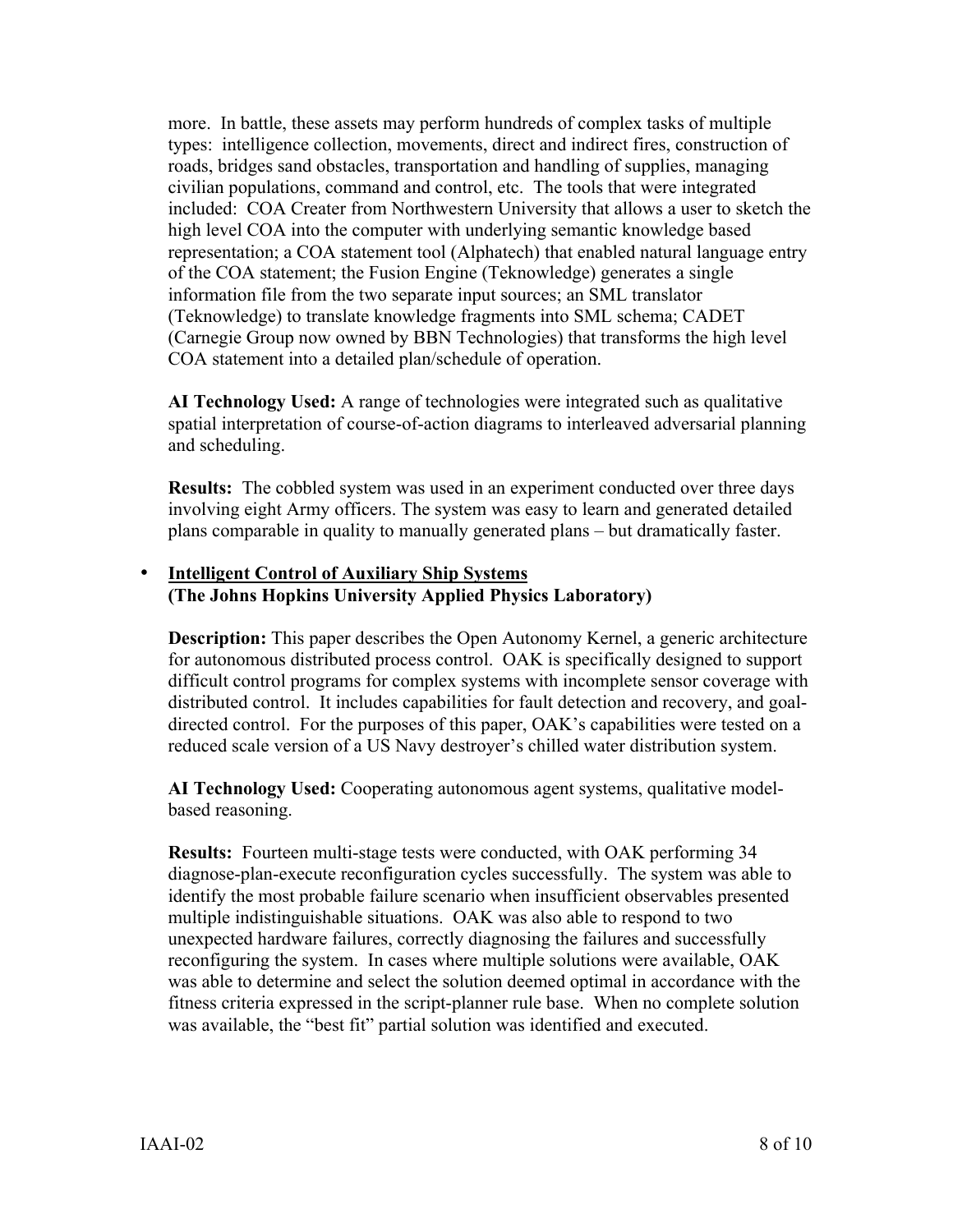more. In battle, these assets may perform hundreds of complex tasks of multiple types: intelligence collection, movements, direct and indirect fires, construction of roads, bridges sand obstacles, transportation and handling of supplies, managing civilian populations, command and control, etc. The tools that were integrated included: COA Creater from Northwestern University that allows a user to sketch the high level COA into the computer with underlying semantic knowledge based representation; a COA statement tool (Alphatech) that enabled natural language entry of the COA statement; the Fusion Engine (Teknowledge) generates a single information file from the two separate input sources; an SML translator (Teknowledge) to translate knowledge fragments into SML schema; CADET (Carnegie Group now owned by BBN Technologies) that transforms the high level COA statement into a detailed plan/schedule of operation.

**AI Technology Used:** A range of technologies were integrated such as qualitative spatial interpretation of course-of-action diagrams to interleaved adversarial planning and scheduling.

**Results:** The cobbled system was used in an experiment conducted over three days involving eight Army officers. The system was easy to learn and generated detailed plans comparable in quality to manually generated plans – but dramatically faster.

#### **Intelligent Control of Auxiliary Ship Systems (The Johns Hopkins University Applied Physics Laboratory)**

**Description:** This paper describes the Open Autonomy Kernel, a generic architecture for autonomous distributed process control. OAK is specifically designed to support difficult control programs for complex systems with incomplete sensor coverage with distributed control. It includes capabilities for fault detection and recovery, and goaldirected control. For the purposes of this paper, OAK's capabilities were tested on a reduced scale version of a US Navy destroyer's chilled water distribution system.

**AI Technology Used:** Cooperating autonomous agent systems, qualitative modelbased reasoning.

**Results:** Fourteen multi-stage tests were conducted, with OAK performing 34 diagnose-plan-execute reconfiguration cycles successfully. The system was able to identify the most probable failure scenario when insufficient observables presented multiple indistinguishable situations. OAK was also able to respond to two unexpected hardware failures, correctly diagnosing the failures and successfully reconfiguring the system. In cases where multiple solutions were available, OAK was able to determine and select the solution deemed optimal in accordance with the fitness criteria expressed in the script-planner rule base. When no complete solution was available, the "best fit" partial solution was identified and executed.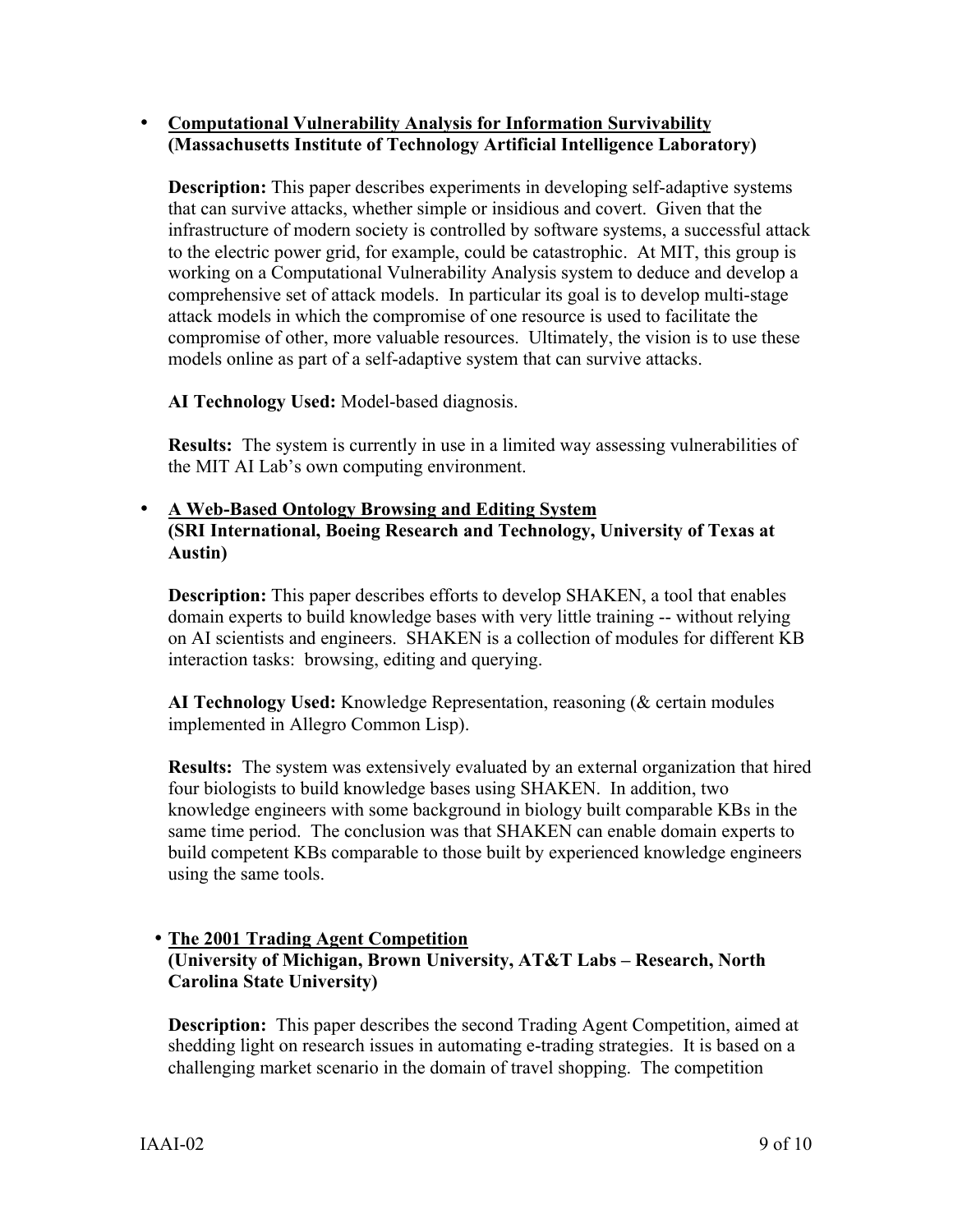#### **Computational Vulnerability Analysis for Information Survivability (Massachusetts Institute of Technology Artificial Intelligence Laboratory)**

**Description:** This paper describes experiments in developing self-adaptive systems that can survive attacks, whether simple or insidious and covert. Given that the infrastructure of modern society is controlled by software systems, a successful attack to the electric power grid, for example, could be catastrophic. At MIT, this group is working on a Computational Vulnerability Analysis system to deduce and develop a comprehensive set of attack models. In particular its goal is to develop multi-stage attack models in which the compromise of one resource is used to facilitate the compromise of other, more valuable resources. Ultimately, the vision is to use these models online as part of a self-adaptive system that can survive attacks.

**AI Technology Used:** Model-based diagnosis.

**Results:** The system is currently in use in a limited way assessing vulnerabilities of the MIT AI Lab's own computing environment.

### **A Web-Based Ontology Browsing and Editing System**

**(SRI International, Boeing Research and Technology, University of Texas at Austin)**

**Description:** This paper describes efforts to develop SHAKEN, a tool that enables domain experts to build knowledge bases with very little training -- without relying on AI scientists and engineers. SHAKEN is a collection of modules for different KB interaction tasks: browsing, editing and querying.

**AI Technology Used:** Knowledge Representation, reasoning (& certain modules implemented in Allegro Common Lisp).

**Results:** The system was extensively evaluated by an external organization that hired four biologists to build knowledge bases using SHAKEN. In addition, two knowledge engineers with some background in biology built comparable KBs in the same time period. The conclusion was that SHAKEN can enable domain experts to build competent KBs comparable to those built by experienced knowledge engineers using the same tools.

#### **The 2001 Trading Agent Competition (University of Michigan, Brown University, AT&T Labs – Research, North Carolina State University)**

**Description:** This paper describes the second Trading Agent Competition, aimed at shedding light on research issues in automating e-trading strategies. It is based on a challenging market scenario in the domain of travel shopping. The competition